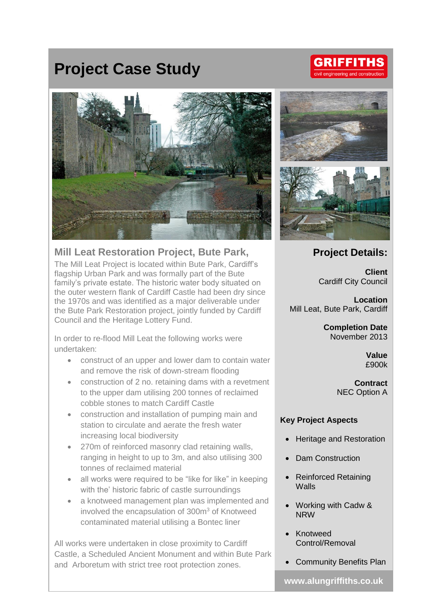## **Project Case Study**



#### **Mill Leat Restoration Project, Bute Park,**

The Mill Leat Project is located within Bute Park, Cardiff's flagship Urban Park and was formally part of the Bute family's private estate. The historic water body situated on the outer western flank of Cardiff Castle had been dry since the 1970s and was identified as a major deliverable under the Bute Park Restoration project, jointly funded by Cardiff Council and the Heritage Lottery Fund.

In order to re-flood Mill Leat the following works were undertaken:

- construct of an upper and lower dam to contain water and remove the risk of down-stream flooding
- construction of 2 no. retaining dams with a revetment to the upper dam utilising 200 tonnes of reclaimed cobble stones to match Cardiff Castle
- construction and installation of pumping main and station to circulate and aerate the fresh water increasing local biodiversity
- 270m of reinforced masonry clad retaining walls, ranging in height to up to 3m, and also utilising 300 tonnes of reclaimed material
- all works were required to be "like for like" in keeping with the' historic fabric of castle surroundings
- a knotweed management plan was implemented and involved the encapsulation of 300m<sup>3</sup> of Knotweed contaminated material utilising a Bontec liner

All works were undertaken in close proximity to Cardiff Castle, a Scheduled Ancient Monument and within Bute Park and Arboretum with strict tree root protection zones.





### **Project Details:**

**Client** Cardiff City Council

**Location** Mill Leat, Bute Park, Cardiff

> **Completion Date** November 2013

> > **Value** £900k

**Contract** NEC Option A

#### **Key Project Aspects**

- Heritage and Restoration
- Dam Construction
- Reinforced Retaining **Walls**
- Working with Cadw & NRW
- Knotweed Control/Removal
- Community Benefits Plan

**www.alungriffiths.co.uk**

# **GRIFFITHS**